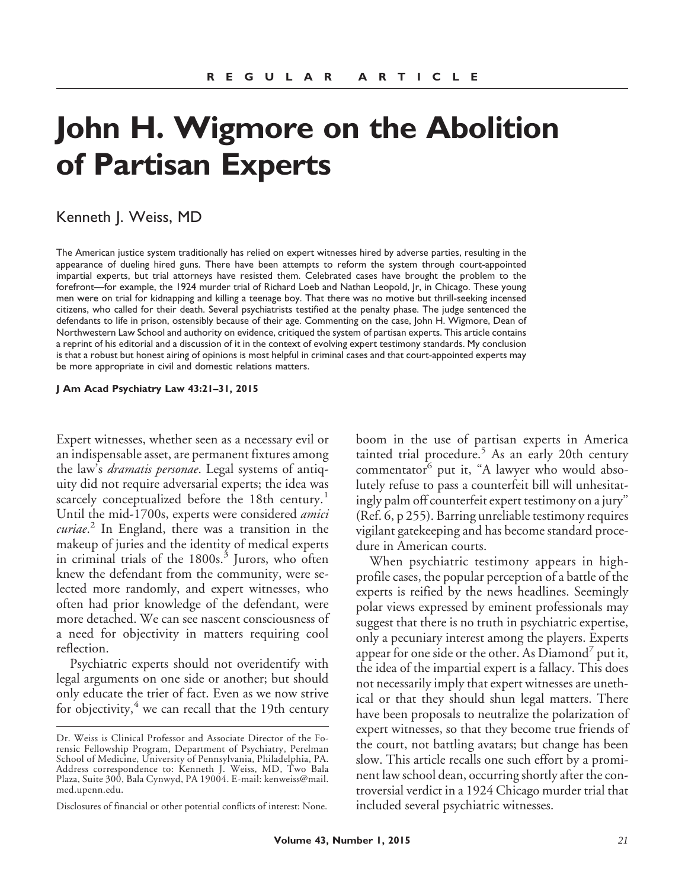# **John H. Wigmore on the Abolition of Partisan Experts**

# Kenneth J. Weiss, MD

The American justice system traditionally has relied on expert witnesses hired by adverse parties, resulting in the appearance of dueling hired guns. There have been attempts to reform the system through court-appointed impartial experts, but trial attorneys have resisted them. Celebrated cases have brought the problem to the forefront—for example, the 1924 murder trial of Richard Loeb and Nathan Leopold, Jr, in Chicago. These young men were on trial for kidnapping and killing a teenage boy. That there was no motive but thrill-seeking incensed citizens, who called for their death. Several psychiatrists testified at the penalty phase. The judge sentenced the defendants to life in prison, ostensibly because of their age. Commenting on the case, John H. Wigmore, Dean of Northwestern Law School and authority on evidence, critiqued the system of partisan experts. This article contains a reprint of his editorial and a discussion of it in the context of evolving expert testimony standards. My conclusion is that a robust but honest airing of opinions is most helpful in criminal cases and that court-appointed experts may be more appropriate in civil and domestic relations matters.

#### **J Am Acad Psychiatry Law 43:21–31, 2015**

Expert witnesses, whether seen as a necessary evil or an indispensable asset, are permanent fixtures among the law's *dramatis personae*. Legal systems of antiquity did not require adversarial experts; the idea was scarcely conceptualized before the 18th century.<sup>1</sup> Until the mid-1700s, experts were considered *amici curiae*. <sup>2</sup> In England, there was a transition in the makeup of juries and the identity of medical experts in criminal trials of the  $1800s<sup>3</sup>$  Jurors, who often knew the defendant from the community, were selected more randomly, and expert witnesses, who often had prior knowledge of the defendant, were more detached. We can see nascent consciousness of a need for objectivity in matters requiring cool reflection.

Psychiatric experts should not overidentify with legal arguments on one side or another; but should only educate the trier of fact. Even as we now strive for objectivity, $4$  we can recall that the 19th century

boom in the use of partisan experts in America tainted trial procedure.<sup>5</sup> As an early 20th century commentator<sup>6</sup> put it, "A lawyer who would absolutely refuse to pass a counterfeit bill will unhesitatingly palm off counterfeit expert testimony on a jury" (Ref. 6, p 255). Barring unreliable testimony requires vigilant gatekeeping and has become standard procedure in American courts.

When psychiatric testimony appears in highprofile cases, the popular perception of a battle of the experts is reified by the news headlines. Seemingly polar views expressed by eminent professionals may suggest that there is no truth in psychiatric expertise, only a pecuniary interest among the players. Experts appear for one side or the other. As  $Diamond<sup>2</sup>$  put it, the idea of the impartial expert is a fallacy. This does not necessarily imply that expert witnesses are unethical or that they should shun legal matters. There have been proposals to neutralize the polarization of expert witnesses, so that they become true friends of the court, not battling avatars; but change has been slow. This article recalls one such effort by a prominent law school dean, occurring shortly after the controversial verdict in a 1924 Chicago murder trial that included several psychiatric witnesses.

Dr. Weiss is Clinical Professor and Associate Director of the Forensic Fellowship Program, Department of Psychiatry, Perelman School of Medicine, University of Pennsylvania, Philadelphia, PA. Address correspondence to: Kenneth J. Weiss, MD, Two Bala Plaza, Suite 300, Bala Cynwyd, PA 19004. E-mail: kenweiss@mail. med.upenn.edu.

Disclosures of financial or other potential conflicts of interest: None.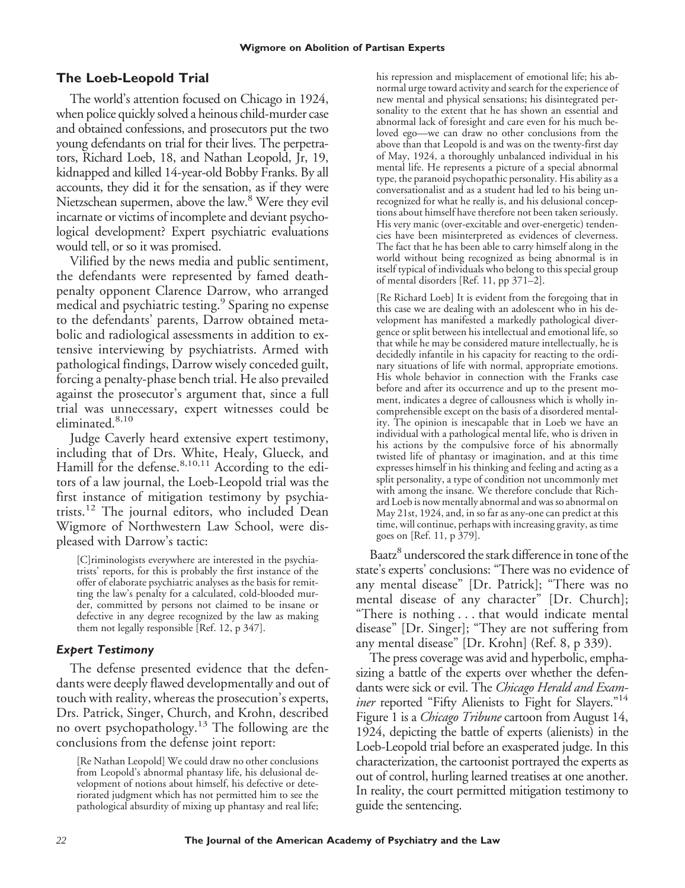# **The Loeb-Leopold Trial**

The world's attention focused on Chicago in 1924, when police quickly solved a heinous child-murder case and obtained confessions, and prosecutors put the two young defendants on trial for their lives. The perpetrators, Richard Loeb, 18, and Nathan Leopold, Jr, 19, kidnapped and killed 14-year-old Bobby Franks. By all accounts, they did it for the sensation, as if they were Nietzschean supermen, above the law.<sup>8</sup> Were they evil incarnate or victims of incomplete and deviant psychological development? Expert psychiatric evaluations would tell, or so it was promised.

Vilified by the news media and public sentiment, the defendants were represented by famed deathpenalty opponent Clarence Darrow, who arranged medical and psychiatric testing.<sup>9</sup> Sparing no expense to the defendants' parents, Darrow obtained metabolic and radiological assessments in addition to extensive interviewing by psychiatrists. Armed with pathological findings, Darrow wisely conceded guilt, forcing a penalty-phase bench trial. He also prevailed against the prosecutor's argument that, since a full trial was unnecessary, expert witnesses could be eliminated.<sup>8,10</sup>

Judge Caverly heard extensive expert testimony, including that of Drs. White, Healy, Glueck, and Hamill for the defense.  $8,10,11$  According to the editors of a law journal, the Loeb-Leopold trial was the first instance of mitigation testimony by psychiatrists.<sup>12</sup> The journal editors, who included Dean Wigmore of Northwestern Law School, were displeased with Darrow's tactic:

[C]riminologists everywhere are interested in the psychiatrists' reports, for this is probably the first instance of the offer of elaborate psychiatric analyses as the basis for remitting the law's penalty for a calculated, cold-blooded murder, committed by persons not claimed to be insane or defective in any degree recognized by the law as making them not legally responsible [Ref. 12, p 347].

# *Expert Testimony*

The defense presented evidence that the defendants were deeply flawed developmentally and out of touch with reality, whereas the prosecution's experts, Drs. Patrick, Singer, Church, and Krohn, described no overt psychopathology.<sup>13</sup> The following are the conclusions from the defense joint report:

his repression and misplacement of emotional life; his abnormal urge toward activity and search for the experience of new mental and physical sensations; his disintegrated personality to the extent that he has shown an essential and abnormal lack of foresight and care even for his much beloved ego—we can draw no other conclusions from the above than that Leopold is and was on the twenty-first day of May, 1924, a thoroughly unbalanced individual in his mental life. He represents a picture of a special abnormal type, the paranoid psychopathic personality. His ability as a conversationalist and as a student had led to his being unrecognized for what he really is, and his delusional conceptions about himself have therefore not been taken seriously. His very manic (over-excitable and over-energetic) tendencies have been misinterpreted as evidences of cleverness. The fact that he has been able to carry himself along in the world without being recognized as being abnormal is in itself typical of individuals who belong to this special group of mental disorders [Ref. 11, pp 371–2].

[Re Richard Loeb] It is evident from the foregoing that in this case we are dealing with an adolescent who in his development has manifested a markedly pathological divergence or split between his intellectual and emotional life, so that while he may be considered mature intellectually, he is decidedly infantile in his capacity for reacting to the ordinary situations of life with normal, appropriate emotions. His whole behavior in connection with the Franks case before and after its occurrence and up to the present moment, indicates a degree of callousness which is wholly incomprehensible except on the basis of a disordered mentality. The opinion is inescapable that in Loeb we have an individual with a pathological mental life, who is driven in his actions by the compulsive force of his abnormally twisted life of phantasy or imagination, and at this time expresses himself in his thinking and feeling and acting as a split personality, a type of condition not uncommonly met with among the insane. We therefore conclude that Richard Loeb is now mentally abnormal and was so abnormal on May 21st, 1924, and, in so far as any-one can predict at this time, will continue, perhaps with increasing gravity, as time goes on [Ref. 11, p 379].

Baatz<sup>8</sup> underscored the stark difference in tone of the state's experts' conclusions: "There was no evidence of any mental disease" [Dr. Patrick]; "There was no mental disease of any character" [Dr. Church]; "There is nothing . . . that would indicate mental disease" [Dr. Singer]; "They are not suffering from any mental disease" [Dr. Krohn] (Ref. 8, p 339).

The press coverage was avid and hyperbolic, emphasizing a battle of the experts over whether the defendants were sick or evil. The *Chicago Herald and Examiner* reported "Fifty Alienists to Fight for Slayers."14 Figure 1 is a *Chicago Tribune* cartoon from August 14, 1924, depicting the battle of experts (alienists) in the Loeb-Leopold trial before an exasperated judge. In this characterization, the cartoonist portrayed the experts as out of control, hurling learned treatises at one another. In reality, the court permitted mitigation testimony to guide the sentencing.

<sup>[</sup>Re Nathan Leopold] We could draw no other conclusions from Leopold's abnormal phantasy life, his delusional development of notions about himself, his defective or deteriorated judgment which has not permitted him to see the pathological absurdity of mixing up phantasy and real life;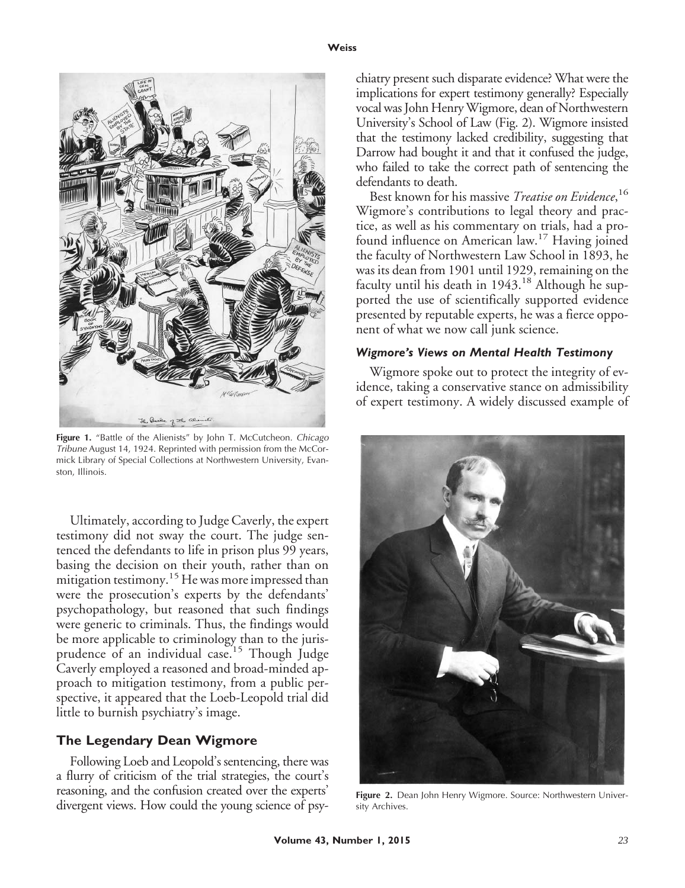

**Figure 1.** "Battle of the Alienists" by John T. McCutcheon. *Chicago Tribune* August 14, 1924. Reprinted with permission from the McCormick Library of Special Collections at Northwestern University, Evanston, Illinois.

Ultimately, according to Judge Caverly, the expert testimony did not sway the court. The judge sentenced the defendants to life in prison plus 99 years, basing the decision on their youth, rather than on mitigation testimony.<sup>15</sup> He was more impressed than were the prosecution's experts by the defendants' psychopathology, but reasoned that such findings were generic to criminals. Thus, the findings would be more applicable to criminology than to the jurisprudence of an individual case.<sup>15</sup> Though Judge Caverly employed a reasoned and broad-minded approach to mitigation testimony, from a public perspective, it appeared that the Loeb-Leopold trial did little to burnish psychiatry's image.

# **The Legendary Dean Wigmore**

Following Loeb and Leopold's sentencing, there was a flurry of criticism of the trial strategies, the court's reasoning, and the confusion created over the experts' divergent views. How could the young science of psychiatry present such disparate evidence? What were the implications for expert testimony generally? Especially vocal was John HenryWigmore, dean of Northwestern University's School of Law (Fig. 2). Wigmore insisted that the testimony lacked credibility, suggesting that Darrow had bought it and that it confused the judge, who failed to take the correct path of sentencing the defendants to death.

Best known for his massive *Treatise on Evidence*, 16 Wigmore's contributions to legal theory and practice, as well as his commentary on trials, had a profound influence on American  $law<sup>17</sup>$  Having joined the faculty of Northwestern Law School in 1893, he was its dean from 1901 until 1929, remaining on the faculty until his death in  $1943$ .<sup>18</sup> Although he supported the use of scientifically supported evidence presented by reputable experts, he was a fierce opponent of what we now call junk science.

#### *Wigmore's Views on Mental Health Testimony*

Wigmore spoke out to protect the integrity of evidence, taking a conservative stance on admissibility of expert testimony. A widely discussed example of



**Figure 2.** Dean John Henry Wigmore. Source: Northwestern University Archives.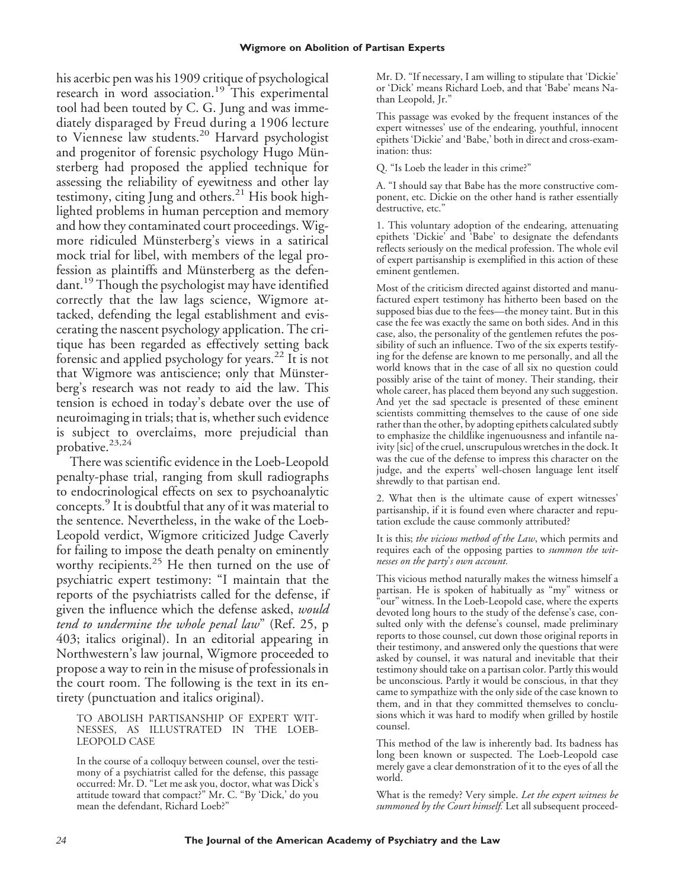his acerbic pen was his 1909 critique of psychological research in word association.<sup>19</sup> This experimental tool had been touted by C. G. Jung and was immediately disparaged by Freud during a 1906 lecture to Viennese law students.<sup>20</sup> Harvard psychologist and progenitor of forensic psychology Hugo Münsterberg had proposed the applied technique for assessing the reliability of eyewitness and other lay testimony, citing Jung and others.<sup>21</sup> His book highlighted problems in human perception and memory and how they contaminated court proceedings. Wigmore ridiculed Münsterberg's views in a satirical mock trial for libel, with members of the legal profession as plaintiffs and Münsterberg as the defendant.<sup>19</sup> Though the psychologist may have identified correctly that the law lags science, Wigmore attacked, defending the legal establishment and eviscerating the nascent psychology application. The critique has been regarded as effectively setting back forensic and applied psychology for years.<sup>22</sup> It is not that Wigmore was antiscience; only that Münsterberg's research was not ready to aid the law. This tension is echoed in today's debate over the use of neuroimaging in trials; that is, whether such evidence is subject to overclaims, more prejudicial than probative.<sup>23,24</sup>

There was scientific evidence in the Loeb-Leopold penalty-phase trial, ranging from skull radiographs to endocrinological effects on sex to psychoanalytic concepts.<sup>9</sup> It is doubtful that any of it was material to the sentence. Nevertheless, in the wake of the Loeb-Leopold verdict, Wigmore criticized Judge Caverly for failing to impose the death penalty on eminently worthy recipients.<sup>25</sup> He then turned on the use of psychiatric expert testimony: "I maintain that the reports of the psychiatrists called for the defense, if given the influence which the defense asked, *would tend to undermine the whole penal law*" (Ref. 25, p 403; italics original). In an editorial appearing in Northwestern's law journal, Wigmore proceeded to propose a way to rein in the misuse of professionals in the court room. The following is the text in its entirety (punctuation and italics original).

TO ABOLISH PARTISANSHIP OF EXPERT WIT-NESSES, AS ILLUSTRATED IN THE LOEB-LEOPOLD CASE

In the course of a colloquy between counsel, over the testimony of a psychiatrist called for the defense, this passage occurred: Mr. D. "Let me ask you, doctor, what was Dick's attitude toward that compact?" Mr. C. "By 'Dick,' do you mean the defendant, Richard Loeb?"

Mr. D. "If necessary, I am willing to stipulate that 'Dickie' or 'Dick' means Richard Loeb, and that 'Babe' means Nathan Leopold, Jr."

This passage was evoked by the frequent instances of the expert witnesses' use of the endearing, youthful, innocent epithets 'Dickie' and 'Babe,' both in direct and cross-examination: thus:

Q. "Is Loeb the leader in this crime?"

A. "I should say that Babe has the more constructive component, etc. Dickie on the other hand is rather essentially destructive, etc."

1. This voluntary adoption of the endearing, attenuating epithets 'Dickie' and 'Babe' to designate the defendants reflects seriously on the medical profession. The whole evil of expert partisanship is exemplified in this action of these eminent gentlemen.

Most of the criticism directed against distorted and manufactured expert testimony has hitherto been based on the supposed bias due to the fees—the money taint. But in this case the fee was exactly the same on both sides. And in this case, also, the personality of the gentlemen refutes the possibility of such an influence. Two of the six experts testifying for the defense are known to me personally, and all the world knows that in the case of all six no question could possibly arise of the taint of money. Their standing, their whole career, has placed them beyond any such suggestion. And yet the sad spectacle is presented of these eminent scientists committing themselves to the cause of one side rather than the other, by adopting epithets calculated subtly to emphasize the childlike ingenuousness and infantile naivity [sic] of the cruel, unscrupulous wretches in the dock. It was the cue of the defense to impress this character on the judge, and the experts' well-chosen language lent itself shrewdly to that partisan end.

2. What then is the ultimate cause of expert witnesses' partisanship, if it is found even where character and reputation exclude the cause commonly attributed?

It is this; *the vicious method of the Law*, which permits and requires each of the opposing parties to *summon the witnesses on the party*'*s own account.*

This vicious method naturally makes the witness himself a partisan. He is spoken of habitually as "my" witness or "our" witness. In the Loeb-Leopold case, where the experts devoted long hours to the study of the defense's case, consulted only with the defense's counsel, made preliminary reports to those counsel, cut down those original reports in their testimony, and answered only the questions that were asked by counsel, it was natural and inevitable that their testimony should take on a partisan color. Partly this would be unconscious. Partly it would be conscious, in that they came to sympathize with the only side of the case known to them, and in that they committed themselves to conclusions which it was hard to modify when grilled by hostile counsel.

This method of the law is inherently bad. Its badness has long been known or suspected. The Loeb-Leopold case merely gave a clear demonstration of it to the eyes of all the world.

What is the remedy? Very simple. *Let the expert witness be summoned by the Court himself.* Let all subsequent proceed-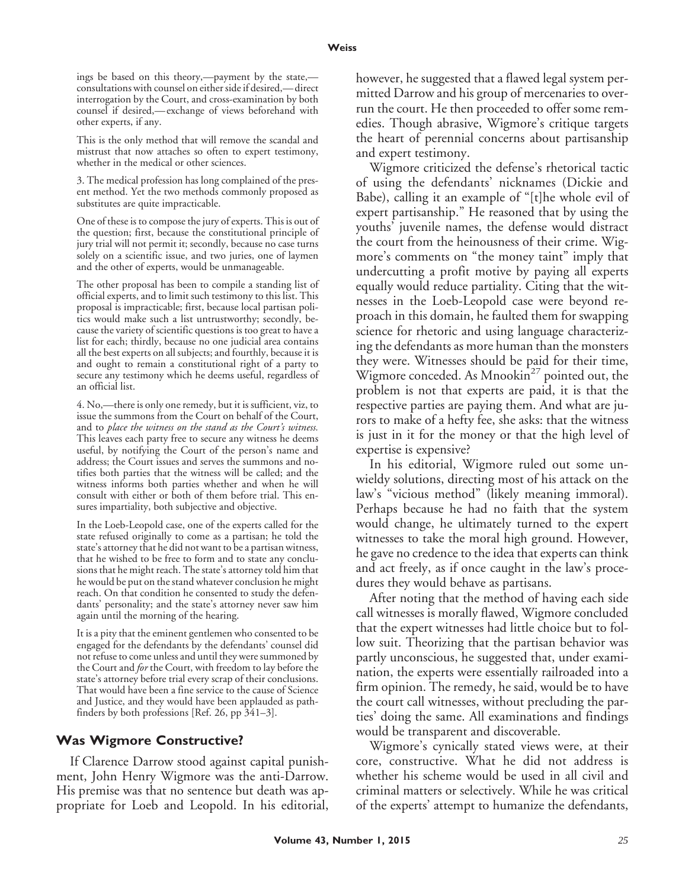ings be based on this theory,—payment by the state, consultations with counsel on either side if desired,— direct interrogation by the Court, and cross-examination by both counsel if desired,— exchange of views beforehand with other experts, if any.

This is the only method that will remove the scandal and mistrust that now attaches so often to expert testimony, whether in the medical or other sciences.

3. The medical profession has long complained of the present method. Yet the two methods commonly proposed as substitutes are quite impracticable.

One of these is to compose the jury of experts. This is out of the question; first, because the constitutional principle of jury trial will not permit it; secondly, because no case turns solely on a scientific issue, and two juries, one of laymen and the other of experts, would be unmanageable.

The other proposal has been to compile a standing list of official experts, and to limit such testimony to this list. This proposal is impracticable; first, because local partisan politics would make such a list untrustworthy; secondly, because the variety of scientific questions is too great to have a list for each; thirdly, because no one judicial area contains all the best experts on all subjects; and fourthly, because it is and ought to remain a constitutional right of a party to secure any testimony which he deems useful, regardless of an official list.

4. No,—there is only one remedy, but it is sufficient, viz, to issue the summons from the Court on behalf of the Court, and to *place the witness on the stand as the Court's witness.* This leaves each party free to secure any witness he deems useful, by notifying the Court of the person's name and address; the Court issues and serves the summons and notifies both parties that the witness will be called; and the witness informs both parties whether and when he will consult with either or both of them before trial. This ensures impartiality, both subjective and objective.

In the Loeb-Leopold case, one of the experts called for the state refused originally to come as a partisan; he told the state's attorney that he did not want to be a partisan witness, that he wished to be free to form and to state any conclusions that he might reach. The state's attorney told him that he would be put on the stand whatever conclusion he might reach. On that condition he consented to study the defendants' personality; and the state's attorney never saw him again until the morning of the hearing.

It is a pity that the eminent gentlemen who consented to be engaged for the defendants by the defendants' counsel did not refuse to come unless and until they were summoned by the Court and *for* the Court, with freedom to lay before the state's attorney before trial every scrap of their conclusions. That would have been a fine service to the cause of Science and Justice, and they would have been applauded as pathfinders by both professions [Ref. 26, pp 341–3].

# **Was Wigmore Constructive?**

If Clarence Darrow stood against capital punishment, John Henry Wigmore was the anti-Darrow. His premise was that no sentence but death was appropriate for Loeb and Leopold. In his editorial, however, he suggested that a flawed legal system permitted Darrow and his group of mercenaries to overrun the court. He then proceeded to offer some remedies. Though abrasive, Wigmore's critique targets the heart of perennial concerns about partisanship and expert testimony.

Wigmore criticized the defense's rhetorical tactic of using the defendants' nicknames (Dickie and Babe), calling it an example of "[t]he whole evil of expert partisanship." He reasoned that by using the youths' juvenile names, the defense would distract the court from the heinousness of their crime. Wigmore's comments on "the money taint" imply that undercutting a profit motive by paying all experts equally would reduce partiality. Citing that the witnesses in the Loeb-Leopold case were beyond reproach in this domain, he faulted them for swapping science for rhetoric and using language characterizing the defendants as more human than the monsters they were. Witnesses should be paid for their time, Wigmore conceded. As Mnookin<sup>27</sup> pointed out, the problem is not that experts are paid, it is that the respective parties are paying them. And what are jurors to make of a hefty fee, she asks: that the witness is just in it for the money or that the high level of expertise is expensive?

In his editorial, Wigmore ruled out some unwieldy solutions, directing most of his attack on the law's "vicious method" (likely meaning immoral). Perhaps because he had no faith that the system would change, he ultimately turned to the expert witnesses to take the moral high ground. However, he gave no credence to the idea that experts can think and act freely, as if once caught in the law's procedures they would behave as partisans.

After noting that the method of having each side call witnesses is morally flawed, Wigmore concluded that the expert witnesses had little choice but to follow suit. Theorizing that the partisan behavior was partly unconscious, he suggested that, under examination, the experts were essentially railroaded into a firm opinion. The remedy, he said, would be to have the court call witnesses, without precluding the parties' doing the same. All examinations and findings would be transparent and discoverable.

Wigmore's cynically stated views were, at their core, constructive. What he did not address is whether his scheme would be used in all civil and criminal matters or selectively. While he was critical of the experts' attempt to humanize the defendants,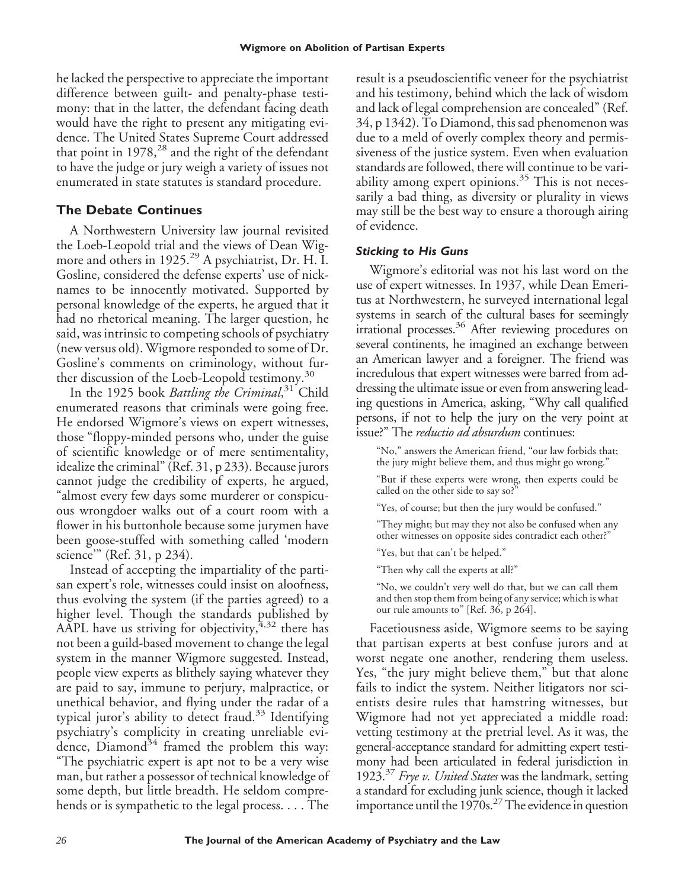he lacked the perspective to appreciate the important difference between guilt- and penalty-phase testimony: that in the latter, the defendant facing death would have the right to present any mitigating evidence. The United States Supreme Court addressed that point in  $1978<sup>28</sup>$  and the right of the defendant to have the judge or jury weigh a variety of issues not enumerated in state statutes is standard procedure.

# **The Debate Continues**

A Northwestern University law journal revisited the Loeb-Leopold trial and the views of Dean Wigmore and others in 1925.<sup>29</sup> A psychiatrist, Dr. H. I. Gosline, considered the defense experts' use of nicknames to be innocently motivated. Supported by personal knowledge of the experts, he argued that it had no rhetorical meaning. The larger question, he said, was intrinsic to competing schools of psychiatry (new versus old). Wigmore responded to some of Dr. Gosline's comments on criminology, without further discussion of the Loeb-Leopold testimony.<sup>30</sup>

In the 1925 book *Battling the Criminal*, <sup>31</sup> Child enumerated reasons that criminals were going free. He endorsed Wigmore's views on expert witnesses, those "floppy-minded persons who, under the guise of scientific knowledge or of mere sentimentality, idealize the criminal" (Ref. 31, p 233). Because jurors cannot judge the credibility of experts, he argued, "almost every few days some murderer or conspicuous wrongdoer walks out of a court room with a flower in his buttonhole because some jurymen have been goose-stuffed with something called 'modern science'" (Ref. 31, p 234).

Instead of accepting the impartiality of the partisan expert's role, witnesses could insist on aloofness, thus evolving the system (if the parties agreed) to a higher level. Though the standards published by AAPL have us striving for objectivity,  $4,32$  there has not been a guild-based movement to change the legal system in the manner Wigmore suggested. Instead, people view experts as blithely saying whatever they are paid to say, immune to perjury, malpractice, or unethical behavior, and flying under the radar of a typical juror's ability to detect fraud.<sup>33</sup> Identifying psychiatry's complicity in creating unreliable evidence, Diamond $34$  framed the problem this way: "The psychiatric expert is apt not to be a very wise man, but rather a possessor of technical knowledge of some depth, but little breadth. He seldom comprehends or is sympathetic to the legal process. . . . The

result is a pseudoscientific veneer for the psychiatrist and his testimony, behind which the lack of wisdom and lack of legal comprehension are concealed" (Ref. 34, p 1342). To Diamond, this sad phenomenon was due to a meld of overly complex theory and permissiveness of the justice system. Even when evaluation standards are followed, there will continue to be variability among expert opinions.<sup>35</sup> This is not necessarily a bad thing, as diversity or plurality in views may still be the best way to ensure a thorough airing of evidence.

## *Sticking to His Guns*

Wigmore's editorial was not his last word on the use of expert witnesses. In 1937, while Dean Emeritus at Northwestern, he surveyed international legal systems in search of the cultural bases for seemingly irrational processes.36 After reviewing procedures on several continents, he imagined an exchange between an American lawyer and a foreigner. The friend was incredulous that expert witnesses were barred from addressing the ultimate issue or even from answering leading questions in America, asking, "Why call qualified persons, if not to help the jury on the very point at issue?" The *reductio ad absurdum* continues:

"No," answers the American friend, "our law forbids that; the jury might believe them, and thus might go wrong."

"But if these experts were wrong, then experts could be called on the other side to say so?"

"Yes, of course; but then the jury would be confused."

"They might; but may they not also be confused when any other witnesses on opposite sides contradict each other?"

"Yes, but that can't be helped."

"Then why call the experts at all?"

"No, we couldn't very well do that, but we can call them and then stop them from being of any service; which is what our rule amounts to" [Ref. 36, p 264].

Facetiousness aside, Wigmore seems to be saying that partisan experts at best confuse jurors and at worst negate one another, rendering them useless. Yes, "the jury might believe them," but that alone fails to indict the system. Neither litigators nor scientists desire rules that hamstring witnesses, but Wigmore had not yet appreciated a middle road: vetting testimony at the pretrial level. As it was, the general-acceptance standard for admitting expert testimony had been articulated in federal jurisdiction in 1923.37 *Frye v. United States* was the landmark, setting a standard for excluding junk science, though it lacked importance until the  $1970s$ .<sup>27</sup> The evidence in question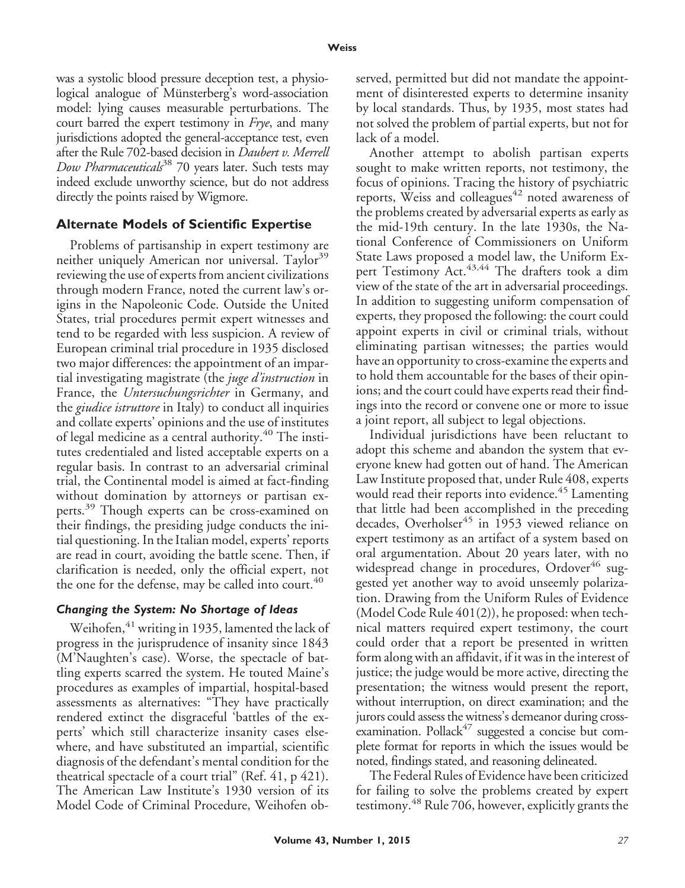was a systolic blood pressure deception test, a physiological analogue of Münsterberg's word-association model: lying causes measurable perturbations. The court barred the expert testimony in *Frye*, and many jurisdictions adopted the general-acceptance test, even after the Rule 702-based decision in *Daubert v. Merrell Dow Pharmaceuticals*<sup>38</sup> 70 years later. Such tests may indeed exclude unworthy science, but do not address directly the points raised by Wigmore.

### **Alternate Models of Scientific Expertise**

Problems of partisanship in expert testimony are neither uniquely American nor universal. Taylor<sup>39</sup> reviewing the use of experts from ancient civilizations through modern France, noted the current law's origins in the Napoleonic Code. Outside the United States, trial procedures permit expert witnesses and tend to be regarded with less suspicion. A review of European criminal trial procedure in 1935 disclosed two major differences: the appointment of an impartial investigating magistrate (the *juge d'instruction* in France, the *Untersuchungsrichter* in Germany, and the *giudice istruttore* in Italy) to conduct all inquiries and collate experts' opinions and the use of institutes of legal medicine as a central authority.<sup>40</sup> The institutes credentialed and listed acceptable experts on a regular basis. In contrast to an adversarial criminal trial, the Continental model is aimed at fact-finding without domination by attorneys or partisan experts.<sup>39</sup> Though experts can be cross-examined on their findings, the presiding judge conducts the initial questioning. In the Italian model, experts' reports are read in court, avoiding the battle scene. Then, if clarification is needed, only the official expert, not the one for the defense, may be called into court.<sup>40</sup>

# *Changing the System: No Shortage of Ideas*

Weihofen, $41$  writing in 1935, lamented the lack of progress in the jurisprudence of insanity since 1843 (M'Naughten's case). Worse, the spectacle of battling experts scarred the system. He touted Maine's procedures as examples of impartial, hospital-based assessments as alternatives: "They have practically rendered extinct the disgraceful 'battles of the experts' which still characterize insanity cases elsewhere, and have substituted an impartial, scientific diagnosis of the defendant's mental condition for the theatrical spectacle of a court trial" (Ref. 41, p 421). The American Law Institute's 1930 version of its Model Code of Criminal Procedure, Weihofen observed, permitted but did not mandate the appointment of disinterested experts to determine insanity by local standards. Thus, by 1935, most states had not solved the problem of partial experts, but not for lack of a model.

Another attempt to abolish partisan experts sought to make written reports, not testimony, the focus of opinions. Tracing the history of psychiatric reports, Weiss and colleagues<sup>42</sup> noted awareness of the problems created by adversarial experts as early as the mid-19th century. In the late 1930s, the National Conference of Commissioners on Uniform State Laws proposed a model law, the Uniform Expert Testimony Act.<sup>43,44</sup> The drafters took a dim view of the state of the art in adversarial proceedings. In addition to suggesting uniform compensation of experts, they proposed the following: the court could appoint experts in civil or criminal trials, without eliminating partisan witnesses; the parties would have an opportunity to cross-examine the experts and to hold them accountable for the bases of their opinions; and the court could have experts read their findings into the record or convene one or more to issue a joint report, all subject to legal objections.

Individual jurisdictions have been reluctant to adopt this scheme and abandon the system that everyone knew had gotten out of hand. The American Law Institute proposed that, under Rule 408, experts would read their reports into evidence.<sup>45</sup> Lamenting that little had been accomplished in the preceding decades, Overholser<sup>45</sup> in 1953 viewed reliance on expert testimony as an artifact of a system based on oral argumentation. About 20 years later, with no widespread change in procedures, Ordover<sup>46</sup> suggested yet another way to avoid unseemly polarization. Drawing from the Uniform Rules of Evidence (Model Code Rule 401(2)), he proposed: when technical matters required expert testimony, the court could order that a report be presented in written form along with an affidavit, if it was in the interest of justice; the judge would be more active, directing the presentation; the witness would present the report, without interruption, on direct examination; and the jurors could assess the witness's demeanor during crossexamination. Pollack $47$  suggested a concise but complete format for reports in which the issues would be noted, findings stated, and reasoning delineated.

The Federal Rules of Evidence have been criticized for failing to solve the problems created by expert testimony.<sup>48</sup> Rule 706, however, explicitly grants the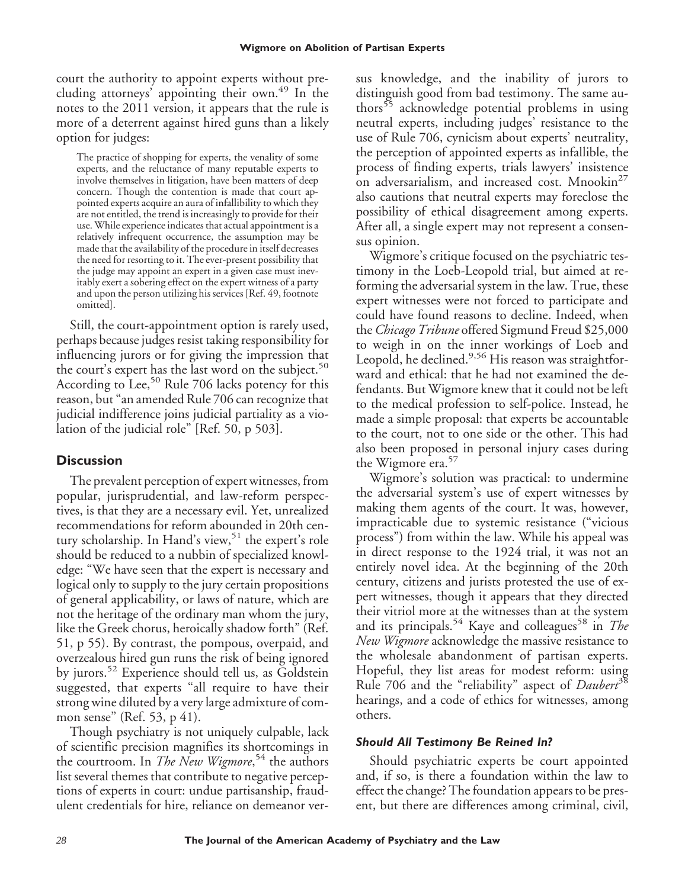court the authority to appoint experts without precluding attorneys' appointing their own.<sup>49</sup> In the notes to the 2011 version, it appears that the rule is more of a deterrent against hired guns than a likely option for judges:

The practice of shopping for experts, the venality of some experts, and the reluctance of many reputable experts to involve themselves in litigation, have been matters of deep concern. Though the contention is made that court appointed experts acquire an aura of infallibility to which they are not entitled, the trend is increasingly to provide for their use. While experience indicates that actual appointment is a relatively infrequent occurrence, the assumption may be made that the availability of the procedure in itself decreases the need for resorting to it. The ever-present possibility that the judge may appoint an expert in a given case must inevitably exert a sobering effect on the expert witness of a party and upon the person utilizing his services [Ref. 49, footnote omitted].

Still, the court-appointment option is rarely used, perhaps because judges resist taking responsibility for influencing jurors or for giving the impression that the court's expert has the last word on the subject.<sup>50</sup> According to Lee,<sup>50</sup> Rule 706 lacks potency for this reason, but "an amended Rule 706 can recognize that judicial indifference joins judicial partiality as a violation of the judicial role" [Ref. 50, p 503].

# **Discussion**

The prevalent perception of expert witnesses, from popular, jurisprudential, and law-reform perspectives, is that they are a necessary evil. Yet, unrealized recommendations for reform abounded in 20th century scholarship. In Hand's view,<sup>51</sup> the expert's role should be reduced to a nubbin of specialized knowledge: "We have seen that the expert is necessary and logical only to supply to the jury certain propositions of general applicability, or laws of nature, which are not the heritage of the ordinary man whom the jury, like the Greek chorus, heroically shadow forth" (Ref. 51, p 55). By contrast, the pompous, overpaid, and overzealous hired gun runs the risk of being ignored by jurors.<sup>52</sup> Experience should tell us, as Goldstein suggested, that experts "all require to have their strong wine diluted by a very large admixture of common sense" (Ref. 53, p 41).

Though psychiatry is not uniquely culpable, lack of scientific precision magnifies its shortcomings in the courtroom. In *The New Wigmore*, <sup>54</sup> the authors list several themes that contribute to negative perceptions of experts in court: undue partisanship, fraudulent credentials for hire, reliance on demeanor versus knowledge, and the inability of jurors to distinguish good from bad testimony. The same authors<sup>55</sup> acknowledge potential problems in using neutral experts, including judges' resistance to the use of Rule 706, cynicism about experts' neutrality, the perception of appointed experts as infallible, the process of finding experts, trials lawyers' insistence on adversarialism, and increased cost. Mnookin $27$ also cautions that neutral experts may foreclose the possibility of ethical disagreement among experts. After all, a single expert may not represent a consensus opinion.

Wigmore's critique focused on the psychiatric testimony in the Loeb-Leopold trial, but aimed at reforming the adversarial system in the law. True, these expert witnesses were not forced to participate and could have found reasons to decline. Indeed, when the *Chicago Tribune* offered Sigmund Freud \$25,000 to weigh in on the inner workings of Loeb and Leopold, he declined.<sup>9,56</sup> His reason was straightforward and ethical: that he had not examined the defendants. But Wigmore knew that it could not be left to the medical profession to self-police. Instead, he made a simple proposal: that experts be accountable to the court, not to one side or the other. This had also been proposed in personal injury cases during the Wigmore era.<sup>57</sup>

Wigmore's solution was practical: to undermine the adversarial system's use of expert witnesses by making them agents of the court. It was, however, impracticable due to systemic resistance ("vicious process") from within the law. While his appeal was in direct response to the 1924 trial, it was not an entirely novel idea. At the beginning of the 20th century, citizens and jurists protested the use of expert witnesses, though it appears that they directed their vitriol more at the witnesses than at the system and its principals.<sup>54</sup> Kaye and colleagues<sup>58</sup> in *The New Wigmore* acknowledge the massive resistance to the wholesale abandonment of partisan experts. Hopeful, they list areas for modest reform: using Rule 706 and the "reliability" aspect of *Daubert*<sup>38</sup> hearings, and a code of ethics for witnesses, among others.

## *Should All Testimony Be Reined In?*

Should psychiatric experts be court appointed and, if so, is there a foundation within the law to effect the change? The foundation appears to be present, but there are differences among criminal, civil,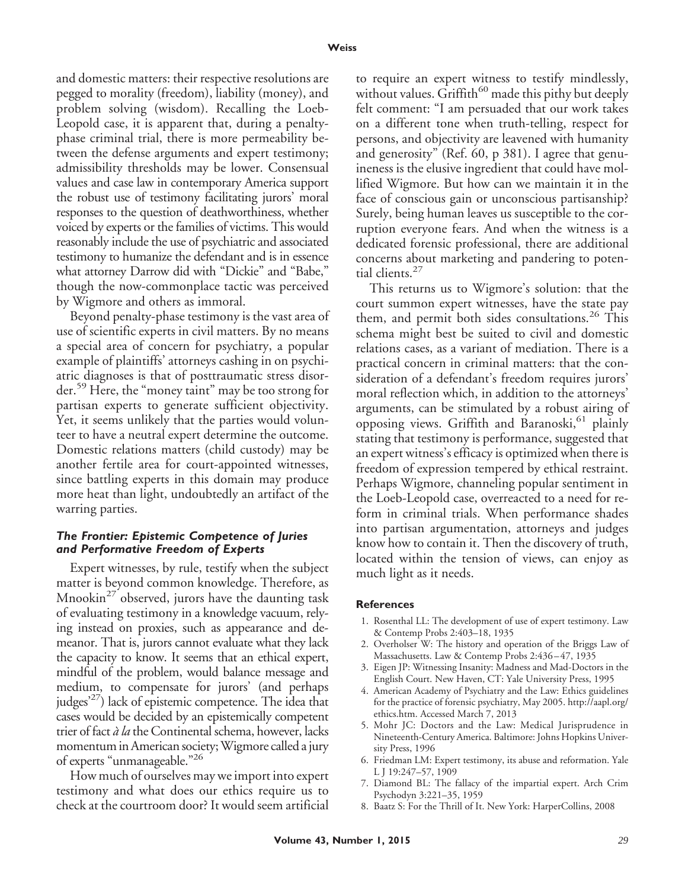and domestic matters: their respective resolutions are pegged to morality (freedom), liability (money), and problem solving (wisdom). Recalling the Loeb-Leopold case, it is apparent that, during a penaltyphase criminal trial, there is more permeability between the defense arguments and expert testimony; admissibility thresholds may be lower. Consensual values and case law in contemporary America support the robust use of testimony facilitating jurors' moral responses to the question of deathworthiness, whether voiced by experts or the families of victims. This would reasonably include the use of psychiatric and associated testimony to humanize the defendant and is in essence what attorney Darrow did with "Dickie" and "Babe," though the now-commonplace tactic was perceived by Wigmore and others as immoral.

Beyond penalty-phase testimony is the vast area of use of scientific experts in civil matters. By no means a special area of concern for psychiatry, a popular example of plaintiffs' attorneys cashing in on psychiatric diagnoses is that of posttraumatic stress disorder.<sup>59</sup> Here, the "money taint" may be too strong for partisan experts to generate sufficient objectivity. Yet, it seems unlikely that the parties would volunteer to have a neutral expert determine the outcome. Domestic relations matters (child custody) may be another fertile area for court-appointed witnesses, since battling experts in this domain may produce more heat than light, undoubtedly an artifact of the warring parties.

#### *The Frontier: Epistemic Competence of Juries and Performative Freedom of Experts*

Expert witnesses, by rule, testify when the subject matter is beyond common knowledge. Therefore, as Mnookin<sup>27</sup> observed, jurors have the daunting task of evaluating testimony in a knowledge vacuum, relying instead on proxies, such as appearance and demeanor. That is, jurors cannot evaluate what they lack the capacity to know. It seems that an ethical expert, mindful of the problem, would balance message and medium, to compensate for jurors' (and perhaps judges $^{27}$ ) lack of epistemic competence. The idea that cases would be decided by an epistemically competent trier of fact *a` la* the Continental schema, however, lacks momentum in American society; Wigmore called a jury of experts "unmanageable."26

How much of ourselves may we import into expert testimony and what does our ethics require us to check at the courtroom door? It would seem artificial

to require an expert witness to testify mindlessly, without values. Griffith<sup>60</sup> made this pithy but deeply felt comment: "I am persuaded that our work takes on a different tone when truth-telling, respect for persons, and objectivity are leavened with humanity and generosity" (Ref. 60, p 381). I agree that genuineness is the elusive ingredient that could have mollified Wigmore. But how can we maintain it in the face of conscious gain or unconscious partisanship? Surely, being human leaves us susceptible to the corruption everyone fears. And when the witness is a dedicated forensic professional, there are additional concerns about marketing and pandering to potential clients.<sup>27</sup>

This returns us to Wigmore's solution: that the court summon expert witnesses, have the state pay them, and permit both sides consultations.<sup>26</sup> This schema might best be suited to civil and domestic relations cases, as a variant of mediation. There is a practical concern in criminal matters: that the consideration of a defendant's freedom requires jurors' moral reflection which, in addition to the attorneys' arguments, can be stimulated by a robust airing of opposing views. Griffith and Baranoski,<sup>61</sup> plainly stating that testimony is performance, suggested that an expert witness's efficacy is optimized when there is freedom of expression tempered by ethical restraint. Perhaps Wigmore, channeling popular sentiment in the Loeb-Leopold case, overreacted to a need for reform in criminal trials. When performance shades into partisan argumentation, attorneys and judges know how to contain it. Then the discovery of truth, located within the tension of views, can enjoy as much light as it needs.

#### **References**

- 1. Rosenthal LL: The development of use of expert testimony. Law & Contemp Probs 2:403–18, 1935
- 2. Overholser W: The history and operation of the Briggs Law of Massachusetts. Law & Contemp Probs 2:436 – 47, 1935
- 3. Eigen JP: Witnessing Insanity: Madness and Mad-Doctors in the English Court. New Haven, CT: Yale University Press, 1995
- 4. American Academy of Psychiatry and the Law: Ethics guidelines for the practice of forensic psychiatry, May 2005. [http://aapl.org/](http://aapl.org/ethics.htm) [ethics.htm.](http://aapl.org/ethics.htm) Accessed March 7, 2013
- 5. Mohr JC: Doctors and the Law: Medical Jurisprudence in Nineteenth-Century America. Baltimore: Johns Hopkins University Press, 1996
- 6. Friedman LM: Expert testimony, its abuse and reformation. Yale L J 19:247–57, 1909
- 7. Diamond BL: The fallacy of the impartial expert. Arch Crim Psychodyn 3:221–35, 1959
- 8. Baatz S: For the Thrill of It. New York: HarperCollins, 2008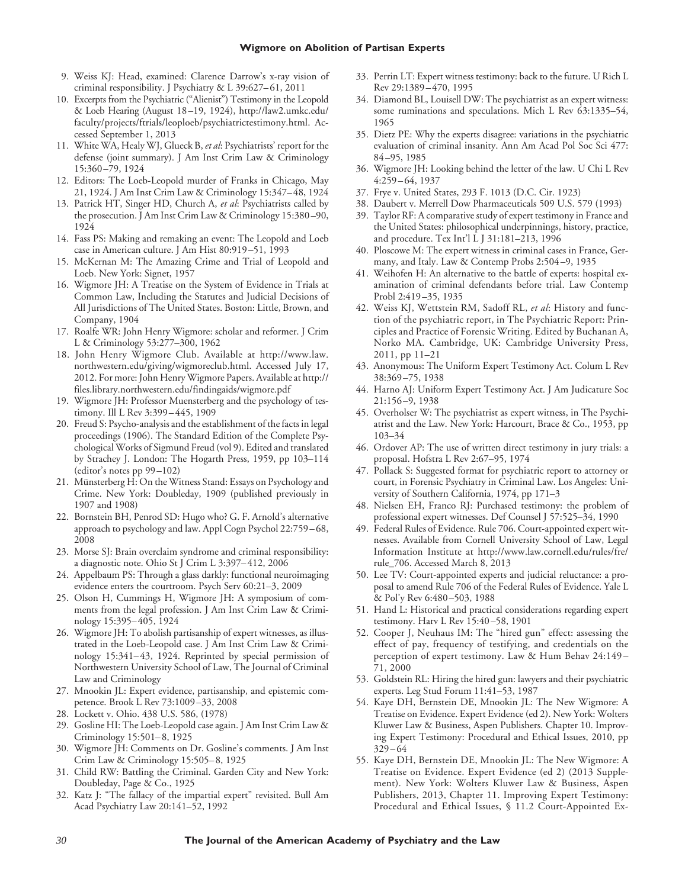#### **Wigmore on Abolition of Partisan Experts**

- 9. Weiss KJ: Head, examined: Clarence Darrow's x-ray vision of criminal responsibility. J Psychiatry & L 39:627– 61, 2011
- 10. Excerpts from the Psychiatric ("Alienist") Testimony in the Leopold & Loeb Hearing (August 18 –19, 1924), [http://law2.umkc.edu/](http://law2.umkc.edu/faculty/projects/ftrials/leoploeb/psychiatrictestimony.html) [faculty/projects/ftrials/leoploeb/psychiatrictestimony.html.](http://law2.umkc.edu/faculty/projects/ftrials/leoploeb/psychiatrictestimony.html) Accessed September 1, 2013
- 11. White WA, Healy WJ, Glueck B, *et al*: Psychiatrists' report for the defense (joint summary). J Am Inst Crim Law & Criminology 15:360 –79, 1924
- 12. Editors: The Loeb-Leopold murder of Franks in Chicago, May 21, 1924. J Am Inst Crim Law & Criminology 15:347– 48, 1924
- 13. Patrick HT, Singer HD, Church A, *et al*: Psychiatrists called by the prosecution. J Am Inst Crim Law & Criminology 15:380 –90, 1924
- 14. Fass PS: Making and remaking an event: The Leopold and Loeb case in American culture. J Am Hist 80:919 –51, 1993
- 15. McKernan M: The Amazing Crime and Trial of Leopold and Loeb. New York: Signet, 1957
- 16. Wigmore JH: A Treatise on the System of Evidence in Trials at Common Law, Including the Statutes and Judicial Decisions of All Jurisdictions of The United States. Boston: Little, Brown, and Company, 1904
- 17. Roalfe WR: John Henry Wigmore: scholar and reformer. J Crim L & Criminology 53:277–300, 1962
- 18. John Henry Wigmore Club. Available at [http://www.law.](http://www.law.northwestern.edu/giving/wigmoreclub.html) [northwestern.edu/giving/wigmoreclub.html.](http://www.law.northwestern.edu/giving/wigmoreclub.html) Accessed July 17, 2012. For more: John Henry Wigmore Papers. Available at http:// files.library.northwestern.edu/findingaids/wigmore.pdf
- 19. Wigmore JH: Professor Muensterberg and the psychology of testimony. Ill L Rev 3:399 – 445, 1909
- 20. Freud S: Psycho-analysis and the establishment of the facts in legal proceedings (1906). The Standard Edition of the Complete Psychological Works of Sigmund Freud (vol 9). Edited and translated by Strachey J. London: The Hogarth Press, 1959, pp 103–114 (editor's notes pp 99 –102)
- 21. Münsterberg H: On the Witness Stand: Essays on Psychology and Crime. New York: Doubleday, 1909 (published previously in 1907 and 1908)
- 22. Bornstein BH, Penrod SD: Hugo who? G. F. Arnold's alternative approach to psychology and law. Appl Cogn Psychol 22:759 – 68, 2008
- 23. Morse SJ: Brain overclaim syndrome and criminal responsibility: a diagnostic note. Ohio St J Crim L 3:397– 412, 2006
- 24. Appelbaum PS: Through a glass darkly: functional neuroimaging evidence enters the courtroom. Psych Serv 60:21–3, 2009
- 25. Olson H, Cummings H, Wigmore JH: A symposium of comments from the legal profession. J Am Inst Crim Law & Criminology 15:395– 405, 1924
- 26. Wigmore JH: To abolish partisanship of expert witnesses, as illustrated in the Loeb-Leopold case. J Am Inst Crim Law & Criminology 15:341– 43, 1924. Reprinted by special permission of Northwestern University School of Law, The Journal of Criminal Law and Criminology
- 27. Mnookin JL: Expert evidence, partisanship, and epistemic competence. Brook L Rev 73:1009 –33, 2008
- 28. Lockett v. Ohio. 438 U.S. 586, (1978)
- 29. Gosline HI: The Loeb-Leopold case again. J Am Inst Crim Law & Criminology 15:501– 8, 1925
- 30. Wigmore JH: Comments on Dr. Gosline's comments. J Am Inst Crim Law & Criminology 15:505– 8, 1925
- 31. Child RW: Battling the Criminal. Garden City and New York: Doubleday, Page & Co., 1925
- 32. Katz J: "The fallacy of the impartial expert" revisited. Bull Am Acad Psychiatry Law 20:141–52, 1992
- 33. Perrin LT: Expert witness testimony: back to the future. U Rich L Rev 29:1389 – 470, 1995
- 34. Diamond BL, Louisell DW: The psychiatrist as an expert witness: some ruminations and speculations. Mich L Rev 63:1335–54, 1965
- 35. Dietz PE: Why the experts disagree: variations in the psychiatric evaluation of criminal insanity. Ann Am Acad Pol Soc Sci 477: 84 –95, 1985
- 36. Wigmore JH: Looking behind the letter of the law. U Chi L Rev 4:259 – 64, 1937
- 37. Frye v. United States, 293 F. 1013 (D.C. Cir. 1923)
- 38. Daubert v. Merrell Dow Pharmaceuticals 509 U.S. 579 (1993)
- 39. Taylor RF: A comparative study of expert testimony in France and the United States: philosophical underpinnings, history, practice, and procedure. Tex Int'l L J 31:181–213, 1996
- 40. Ploscowe M: The expert witness in criminal cases in France, Germany, and Italy. Law & Contemp Probs 2:504 –9, 1935
- 41. Weihofen H: An alternative to the battle of experts: hospital examination of criminal defendants before trial. Law Contemp Probl 2:419 –35, 1935
- 42. Weiss KJ, Wettstein RM, Sadoff RL, *et al*: History and function of the psychiatric report, in The Psychiatric Report: Principles and Practice of Forensic Writing. Edited by Buchanan A, Norko MA. Cambridge, UK: Cambridge University Press, 2011, pp 11–21
- 43. Anonymous: The Uniform Expert Testimony Act. Colum L Rev 38:369 –75, 1938
- 44. Harno AJ: Uniform Expert Testimony Act. J Am Judicature Soc 21:156 –9, 1938
- 45. Overholser W: The psychiatrist as expert witness, in The Psychiatrist and the Law. New York: Harcourt, Brace & Co., 1953, pp 103–34
- 46. Ordover AP: The use of written direct testimony in jury trials: a proposal. Hofstra L Rev 2:67–95, 1974
- 47. Pollack S: Suggested format for psychiatric report to attorney or court, in Forensic Psychiatry in Criminal Law. Los Angeles: University of Southern California, 1974, pp 171–3
- 48. Nielsen EH, Franco RJ: Purchased testimony: the problem of professional expert witnesses. Def Counsel J 57:525–34, 1990
- 49. Federal Rules of Evidence. Rule 706. Court-appointed expert witnesses. Available from Cornell University School of Law, Legal Information Institute at [http://www.law.cornell.edu/rules/fre/](http://www.law.cornell.edu/rules/fre/rule_706) [rule\\_706.](http://www.law.cornell.edu/rules/fre/rule_706) Accessed March 8, 2013
- 50. Lee TV: Court-appointed experts and judicial reluctance: a proposal to amend Rule 706 of the Federal Rules of Evidence. Yale L & Pol'y Rev 6:480 –503, 1988
- 51. Hand L: Historical and practical considerations regarding expert testimony. Harv L Rev 15:40 –58, 1901
- 52. Cooper J, Neuhaus IM: The "hired gun" effect: assessing the effect of pay, frequency of testifying, and credentials on the perception of expert testimony. Law & Hum Behav 24:149 – 71, 2000
- 53. Goldstein RL: Hiring the hired gun: lawyers and their psychiatric experts. Leg Stud Forum 11:41–53, 1987
- 54. Kaye DH, Bernstein DE, Mnookin JL: The New Wigmore: A Treatise on Evidence. Expert Evidence (ed 2). New York: Wolters Kluwer Law & Business, Aspen Publishers. Chapter 10. Improving Expert Testimony: Procedural and Ethical Issues, 2010, pp 329 – 64
- 55. Kaye DH, Bernstein DE, Mnookin JL: The New Wigmore: A Treatise on Evidence. Expert Evidence (ed 2) (2013 Supplement). New York: Wolters Kluwer Law & Business, Aspen Publishers, 2013, Chapter 11. Improving Expert Testimony: Procedural and Ethical Issues, § 11.2 Court-Appointed Ex-